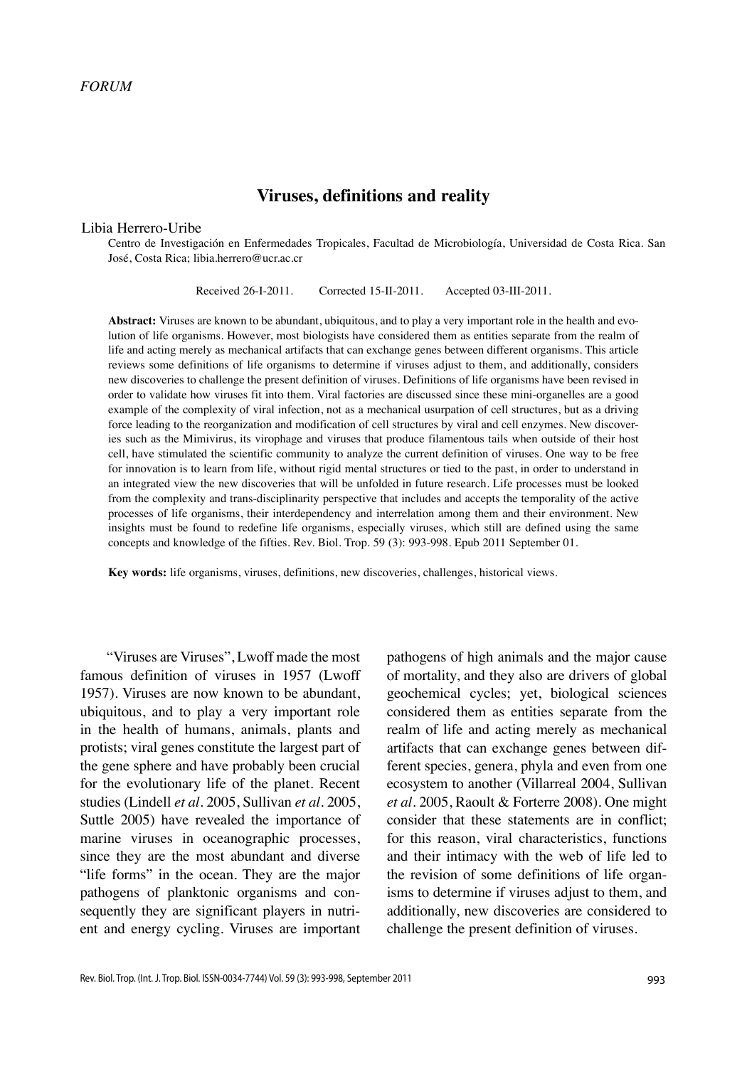# **Viruses, definitions and reality**

#### Libia Herrero-Uribe

Centro de Investigación en Enfermedades Tropicales, Facultad de Microbiología, Universidad de Costa Rica. San José, Costa Rica; libia.herrero@ucr.ac.cr

Received 26-I-2011. Corrected 15-II-2011. Accepted 03-III-2011.

**Abstract:** Viruses are known to be abundant, ubiquitous, and to play a very important role in the health and evolution of life organisms. However, most biologists have considered them as entities separate from the realm of life and acting merely as mechanical artifacts that can exchange genes between different organisms. This article reviews some definitions of life organisms to determine if viruses adjust to them, and additionally, considers new discoveries to challenge the present definition of viruses. Definitions of life organisms have been revised in order to validate how viruses fit into them. Viral factories are discussed since these mini-organelles are a good example of the complexity of viral infection, not as a mechanical usurpation of cell structures, but as a driving force leading to the reorganization and modification of cell structures by viral and cell enzymes. New discoveries such as the Mimivirus, its virophage and viruses that produce filamentous tails when outside of their host cell, have stimulated the scientific community to analyze the current definition of viruses. One way to be free for innovation is to learn from life, without rigid mental structures or tied to the past, in order to understand in an integrated view the new discoveries that will be unfolded in future research. Life processes must be looked from the complexity and trans-disciplinarity perspective that includes and accepts the temporality of the active processes of life organisms, their interdependency and interrelation among them and their environment. New insights must be found to redefine life organisms, especially viruses, which still are defined using the same concepts and knowledge of the fifties. Rev. Biol. Trop. 59 (3): 993-998. Epub 2011 September 01.

**Key words:** life organisms, viruses, definitions, new discoveries, challenges, historical views.

"Viruses are Viruses", Lwoff made the most famous definition of viruses in 1957 (Lwoff 1957). Viruses are now known to be abundant, ubiquitous, and to play a very important role in the health of humans, animals, plants and protists; viral genes constitute the largest part of the gene sphere and have probably been crucial for the evolutionary life of the planet. Recent studies (Lindell *et al*. 2005, Sullivan *et al*. 2005, Suttle 2005) have revealed the importance of marine viruses in oceanographic processes, since they are the most abundant and diverse "life forms" in the ocean. They are the major pathogens of planktonic organisms and consequently they are significant players in nutrient and energy cycling. Viruses are important

pathogens of high animals and the major cause of mortality, and they also are drivers of global geochemical cycles; yet, biological sciences considered them as entities separate from the realm of life and acting merely as mechanical artifacts that can exchange genes between different species, genera, phyla and even from one ecosystem to another (Villarreal 2004, Sullivan *et al*. 2005, Raoult & Forterre 2008). One might consider that these statements are in conflict; for this reason, viral characteristics, functions and their intimacy with the web of life led to the revision of some definitions of life organisms to determine if viruses adjust to them, and additionally, new discoveries are considered to challenge the present definition of viruses.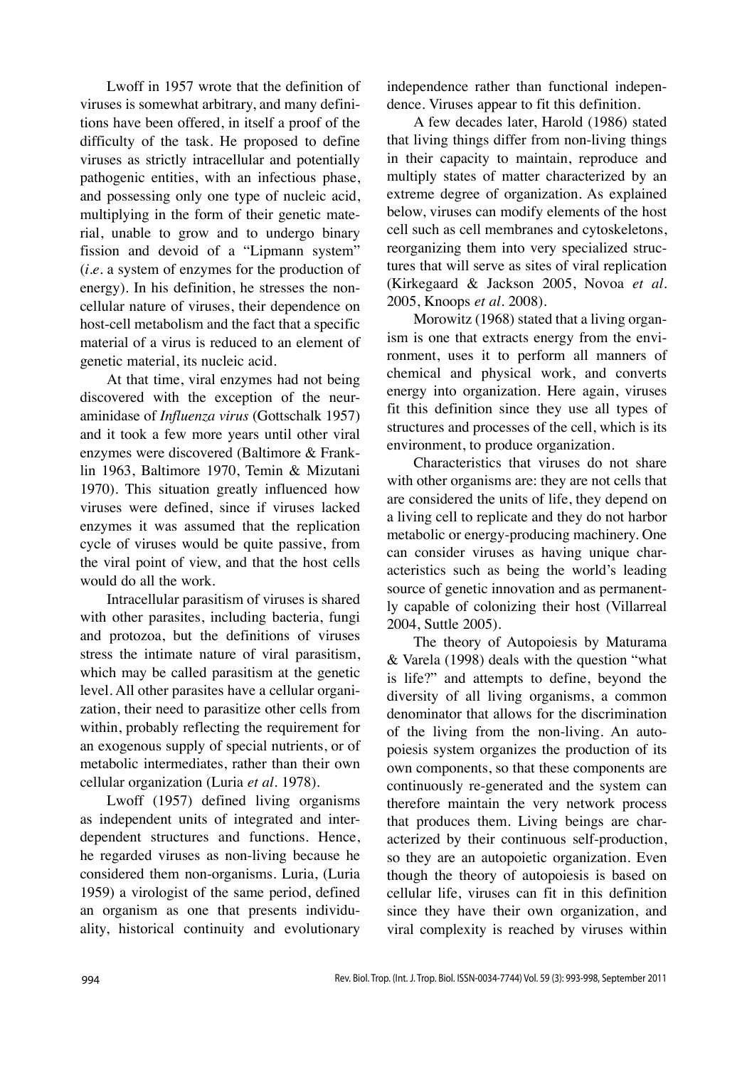Lwoff in 1957 wrote that the definition of viruses is somewhat arbitrary, and many definitions have been offered, in itself a proof of the difficulty of the task. He proposed to define viruses as strictly intracellular and potentially pathogenic entities, with an infectious phase, and possessing only one type of nucleic acid, multiplying in the form of their genetic material, unable to grow and to undergo binary fission and devoid of a "Lipmann system" (*i.e.* a system of enzymes for the production of energy). In his definition, he stresses the noncellular nature of viruses, their dependence on host-cell metabolism and the fact that a specific material of a virus is reduced to an element of genetic material, its nucleic acid.

At that time, viral enzymes had not being discovered with the exception of the neuraminidase of *Influenza virus* (Gottschalk 1957) and it took a few more years until other viral enzymes were discovered (Baltimore & Franklin 1963, Baltimore 1970, Temin & Mizutani 1970). This situation greatly influenced how viruses were defined, since if viruses lacked enzymes it was assumed that the replication cycle of viruses would be quite passive, from the viral point of view, and that the host cells would do all the work.

Intracellular parasitism of viruses is shared with other parasites, including bacteria, fungi and protozoa, but the definitions of viruses stress the intimate nature of viral parasitism, which may be called parasitism at the genetic level. All other parasites have a cellular organization, their need to parasitize other cells from within, probably reflecting the requirement for an exogenous supply of special nutrients, or of metabolic intermediates, rather than their own cellular organization (Luria *et al*. 1978).

Lwoff (1957) defined living organisms as independent units of integrated and interdependent structures and functions. Hence, he regarded viruses as non-living because he considered them non-organisms. Luria, (Luria 1959) a virologist of the same period, defined an organism as one that presents individuality, historical continuity and evolutionary

independence rather than functional independence. Viruses appear to fit this definition.

A few decades later, Harold (1986) stated that living things differ from non-living things in their capacity to maintain, reproduce and multiply states of matter characterized by an extreme degree of organization. As explained below, viruses can modify elements of the host cell such as cell membranes and cytoskeletons, reorganizing them into very specialized structures that will serve as sites of viral replication (Kirkegaard & Jackson 2005, Novoa *et al.* 2005, Knoops *et al.* 2008).

Morowitz (1968) stated that a living organism is one that extracts energy from the environment, uses it to perform all manners of chemical and physical work, and converts energy into organization. Here again, viruses fit this definition since they use all types of structures and processes of the cell, which is its environment, to produce organization.

Characteristics that viruses do not share with other organisms are: they are not cells that are considered the units of life, they depend on a living cell to replicate and they do not harbor metabolic or energy-producing machinery. One can consider viruses as having unique characteristics such as being the world's leading source of genetic innovation and as permanently capable of colonizing their host (Villarreal 2004, Suttle 2005).

The theory of Autopoiesis by Maturama & Varela (1998) deals with the question "what is life?" and attempts to define, beyond the diversity of all living organisms, a common denominator that allows for the discrimination of the living from the non-living. An autopoiesis system organizes the production of its own components, so that these components are continuously re-generated and the system can therefore maintain the very network process that produces them. Living beings are characterized by their continuous self-production, so they are an autopoietic organization. Even though the theory of autopoiesis is based on cellular life, viruses can fit in this definition since they have their own organization, and viral complexity is reached by viruses within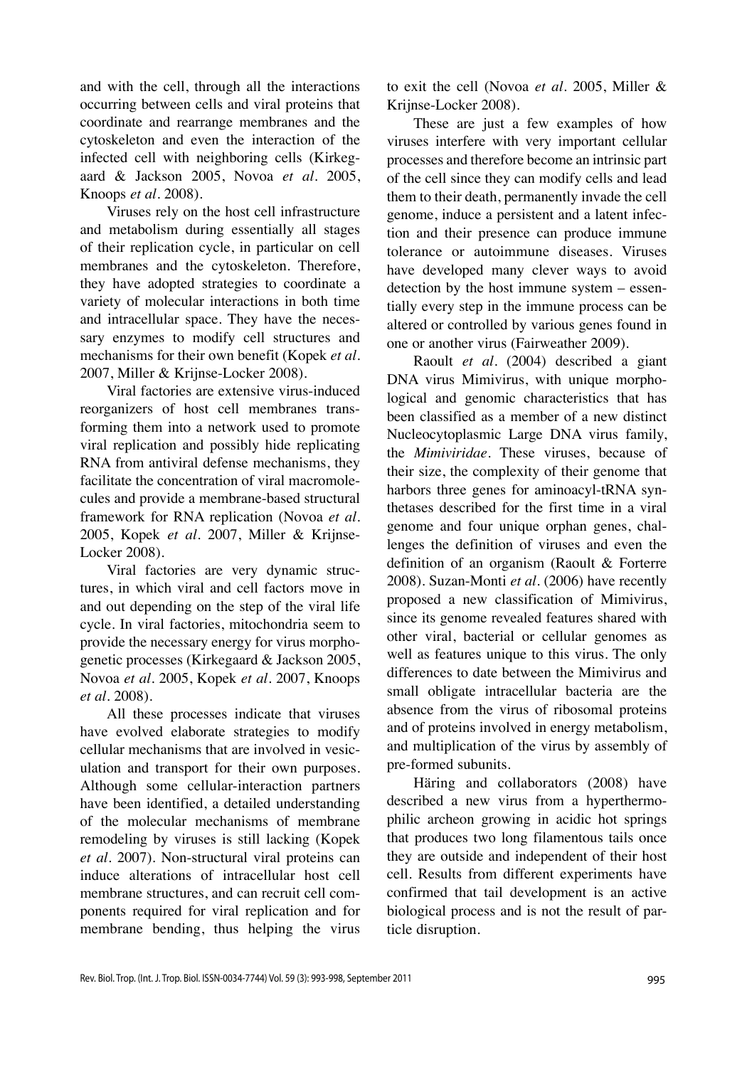and with the cell, through all the interactions occurring between cells and viral proteins that coordinate and rearrange membranes and the cytoskeleton and even the interaction of the infected cell with neighboring cells (Kirkegaard & Jackson 2005, Novoa *et al*. 2005, Knoops *et al.* 2008).

Viruses rely on the host cell infrastructure and metabolism during essentially all stages of their replication cycle, in particular on cell membranes and the cytoskeleton. Therefore, they have adopted strategies to coordinate a variety of molecular interactions in both time and intracellular space. They have the necessary enzymes to modify cell structures and mechanisms for their own benefit (Kopek *et al.*  2007, Miller & Krijnse-Locker 2008).

Viral factories are extensive virus-induced reorganizers of host cell membranes transforming them into a network used to promote viral replication and possibly hide replicating RNA from antiviral defense mechanisms, they facilitate the concentration of viral macromolecules and provide a membrane-based structural framework for RNA replication (Novoa *et al.* 2005, Kopek *et al.* 2007, Miller & Krijnse-Locker 2008).

Viral factories are very dynamic structures, in which viral and cell factors move in and out depending on the step of the viral life cycle. In viral factories, mitochondria seem to provide the necessary energy for virus morphogenetic processes (Kirkegaard & Jackson 2005, Novoa *et al.* 2005, Kopek *et al.* 2007, Knoops *et al.* 2008).

All these processes indicate that viruses have evolved elaborate strategies to modify cellular mechanisms that are involved in vesiculation and transport for their own purposes. Although some cellular-interaction partners have been identified, a detailed understanding of the molecular mechanisms of membrane remodeling by viruses is still lacking (Kopek *et al.* 2007). Non-structural viral proteins can induce alterations of intracellular host cell membrane structures, and can recruit cell components required for viral replication and for membrane bending, thus helping the virus

to exit the cell (Novoa *et al.* 2005, Miller & Krijnse-Locker 2008).

These are just a few examples of how viruses interfere with very important cellular processes and therefore become an intrinsic part of the cell since they can modify cells and lead them to their death, permanently invade the cell genome, induce a persistent and a latent infection and their presence can produce immune tolerance or autoimmune diseases. Viruses have developed many clever ways to avoid detection by the host immune system – essentially every step in the immune process can be altered or controlled by various genes found in one or another virus (Fairweather 2009).

Raoult *et al*. (2004) described a giant DNA virus Mimivirus, with unique morphological and genomic characteristics that has been classified as a member of a new distinct Nucleocytoplasmic Large DNA virus family, the *Mimiviridae*. These viruses, because of their size, the complexity of their genome that harbors three genes for aminoacyl-tRNA synthetases described for the first time in a viral genome and four unique orphan genes, challenges the definition of viruses and even the definition of an organism (Raoult & Forterre 2008). Suzan-Monti *et al*. (2006) have recently proposed a new classification of Mimivirus, since its genome revealed features shared with other viral, bacterial or cellular genomes as well as features unique to this virus. The only differences to date between the Mimivirus and small obligate intracellular bacteria are the absence from the virus of ribosomal proteins and of proteins involved in energy metabolism, and multiplication of the virus by assembly of pre-formed subunits.

Häring and collaborators (2008) have described a new virus from a hyperthermophilic archeon growing in acidic hot springs that produces two long filamentous tails once they are outside and independent of their host cell. Results from different experiments have confirmed that tail development is an active biological process and is not the result of particle disruption.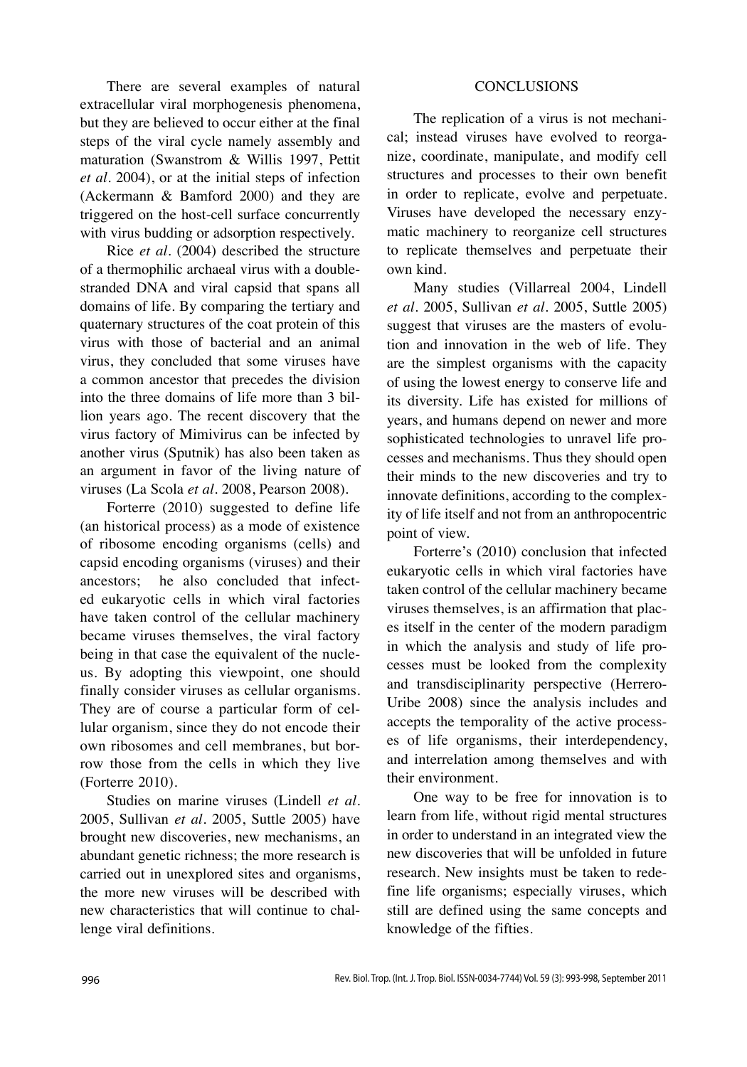There are several examples of natural extracellular viral morphogenesis phenomena, but they are believed to occur either at the final steps of the viral cycle namely assembly and maturation (Swanstrom & Willis 1997, Pettit *et al.* 2004), or at the initial steps of infection (Ackermann & Bamford 2000) and they are triggered on the host-cell surface concurrently with virus budding or adsorption respectively.

Rice *et al.* (2004) described the structure of a thermophilic archaeal virus with a doublestranded DNA and viral capsid that spans all domains of life. By comparing the tertiary and quaternary structures of the coat protein of this virus with those of bacterial and an animal virus, they concluded that some viruses have a common ancestor that precedes the division into the three domains of life more than 3 billion years ago. The recent discovery that the virus factory of Mimivirus can be infected by another virus (Sputnik) has also been taken as an argument in favor of the living nature of viruses (La Scola *et al.* 2008, Pearson 2008).

Forterre (2010) suggested to define life (an historical process) as a mode of existence of ribosome encoding organisms (cells) and capsid encoding organisms (viruses) and their ancestors; he also concluded that infected eukaryotic cells in which viral factories have taken control of the cellular machinery became viruses themselves, the viral factory being in that case the equivalent of the nucleus. By adopting this viewpoint, one should finally consider viruses as cellular organisms. They are of course a particular form of cellular organism, since they do not encode their own ribosomes and cell membranes, but borrow those from the cells in which they live (Forterre 2010).

Studies on marine viruses (Lindell *et al.* 2005, Sullivan *et al.* 2005, Suttle 2005) have brought new discoveries, new mechanisms, an abundant genetic richness; the more research is carried out in unexplored sites and organisms, the more new viruses will be described with new characteristics that will continue to challenge viral definitions.

## **CONCLUSIONS**

The replication of a virus is not mechanical; instead viruses have evolved to reorganize, coordinate, manipulate, and modify cell structures and processes to their own benefit in order to replicate, evolve and perpetuate. Viruses have developed the necessary enzymatic machinery to reorganize cell structures to replicate themselves and perpetuate their own kind.

Many studies (Villarreal 2004, Lindell *et al.* 2005, Sullivan *et al.* 2005, Suttle 2005) suggest that viruses are the masters of evolution and innovation in the web of life. They are the simplest organisms with the capacity of using the lowest energy to conserve life and its diversity. Life has existed for millions of years, and humans depend on newer and more sophisticated technologies to unravel life processes and mechanisms. Thus they should open their minds to the new discoveries and try to innovate definitions, according to the complexity of life itself and not from an anthropocentric point of view.

Forterre's (2010) conclusion that infected eukaryotic cells in which viral factories have taken control of the cellular machinery became viruses themselves, is an affirmation that places itself in the center of the modern paradigm in which the analysis and study of life processes must be looked from the complexity and transdisciplinarity perspective (Herrero-Uribe 2008) since the analysis includes and accepts the temporality of the active processes of life organisms, their interdependency, and interrelation among themselves and with their environment.

One way to be free for innovation is to learn from life, without rigid mental structures in order to understand in an integrated view the new discoveries that will be unfolded in future research. New insights must be taken to redefine life organisms; especially viruses, which still are defined using the same concepts and knowledge of the fifties.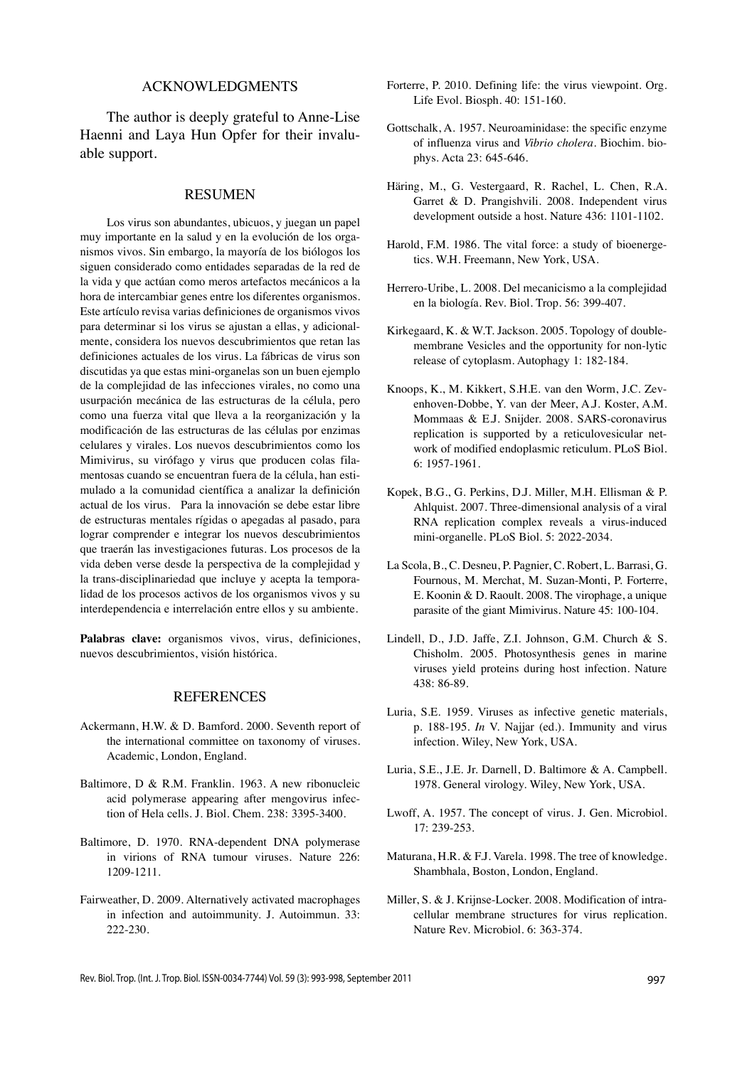### Acknowledgments

The author is deeply grateful to Anne-Lise Haenni and Laya Hun Opfer for their invaluable support.

# **RESUMEN**

Los virus son abundantes, ubicuos, y juegan un papel muy importante en la salud y en la evolución de los organismos vivos. Sin embargo, la mayoría de los biólogos los siguen considerado como entidades separadas de la red de la vida y que actúan como meros artefactos mecánicos a la hora de intercambiar genes entre los diferentes organismos. Este artículo revisa varias definiciones de organismos vivos para determinar si los virus se ajustan a ellas, y adicionalmente, considera los nuevos descubrimientos que retan las definiciones actuales de los virus. La fábricas de virus son discutidas ya que estas mini-organelas son un buen ejemplo de la complejidad de las infecciones virales, no como una usurpación mecánica de las estructuras de la célula, pero como una fuerza vital que lleva a la reorganización y la modificación de las estructuras de las células por enzimas celulares y virales. Los nuevos descubrimientos como los Mimivirus, su virófago y virus que producen colas filamentosas cuando se encuentran fuera de la célula, han estimulado a la comunidad científica a analizar la definición actual de los virus. Para la innovación se debe estar libre de estructuras mentales rígidas o apegadas al pasado, para lograr comprender e integrar los nuevos descubrimientos que traerán las investigaciones futuras. Los procesos de la vida deben verse desde la perspectiva de la complejidad y la trans-disciplinariedad que incluye y acepta la temporalidad de los procesos activos de los organismos vivos y su interdependencia e interrelación entre ellos y su ambiente.

**Palabras clave:** organismos vivos, virus, definiciones, nuevos descubrimientos, visión histórica.

# **REFERENCES**

- Ackermann, H.W. & D. Bamford. 2000. Seventh report of the international committee on taxonomy of viruses. Academic, London, England.
- Baltimore, D & R.M. Franklin. 1963. A new ribonucleic acid polymerase appearing after mengovirus infection of Hela cells. J. Biol. Chem. 238: 3395-3400.
- Baltimore, D. 1970. RNA-dependent DNA polymerase in virions of RNA tumour viruses. Nature 226: 1209-1211.
- Fairweather, D. 2009. Alternatively activated macrophages in infection and autoimmunity. J. Autoimmun. 33: 222-230.
- Forterre, P. 2010. Defining life: the virus viewpoint. Org. Life Evol. Biosph. 40: 151-160.
- Gottschalk, A. 1957. Neuroaminidase: the specific enzyme of influenza virus and *Vibrio cholera*. Biochim. biophys. Acta 23: 645-646.
- Häring, M., G. Vestergaard, R. Rachel, L. Chen, R.A. Garret & D. Prangishvili. 2008. Independent virus development outside a host. Nature 436: 1101-1102.
- Harold, F.M. 1986. The vital force: a study of bioenergetics. W.H. Freemann, New York, USA.
- Herrero-Uribe, L. 2008. Del mecanicismo a la complejidad en la biología. Rev. Biol. Trop. 56: 399-407.
- Kirkegaard, K. & W.T. Jackson. 2005. Topology of doublemembrane Vesicles and the opportunity for non-lytic release of cytoplasm. Autophagy 1: 182-184.
- Knoops, K., M. Kikkert, S.H.E. van den Worm, J.C. Zevenhoven-Dobbe, Y. van der Meer, A.J. Koster, A.M. Mommaas & E.J. Snijder. 2008. SARS-coronavirus replication is supported by a reticulovesicular network of modified endoplasmic reticulum. PLoS Biol. 6: 1957-1961.
- Kopek, B.G., G. Perkins, D.J. Miller, M.H. Ellisman & P. Ahlquist. 2007. Three-dimensional analysis of a viral RNA replication complex reveals a virus-induced mini-organelle. PLoS Biol. 5: 2022-2034.
- La Scola, B., C. Desneu, P. Pagnier, C. Robert, L. Barrasi, G. Fournous, M. Merchat, M. Suzan-Monti, P. Forterre, E. Koonin & D. Raoult. 2008. The virophage, a unique parasite of the giant Mimivirus. Nature 45: 100-104.
- Lindell, D., J.D. Jaffe, Z.I. Johnson, G.M. Church & S. Chisholm. 2005. Photosynthesis genes in marine viruses yield proteins during host infection. Nature 438: 86-89.
- Luria, S.E. 1959. Viruses as infective genetic materials, p. 188-195. *In* V. Najjar (ed.). Immunity and virus infection. Wiley, New York, USA.
- Luria, S.E., J.E. Jr. Darnell, D. Baltimore & A. Campbell. 1978. General virology. Wiley, New York, USA.
- Lwoff, A. 1957. The concept of virus. J. Gen. Microbiol. 17: 239-253.
- Maturana, H.R. & F.J. Varela. 1998. The tree of knowledge. Shambhala, Boston, London, England.
- Miller, S. & J. Krijnse-Locker. 2008. Modification of intracellular membrane structures for virus replication. Nature Rev. Microbiol. 6: 363-374.

Rev. Biol. Trop. (Int. J. Trop. Biol. ISSN-0034-7744) Vol. 59 (3): 993-998, September 2011 997